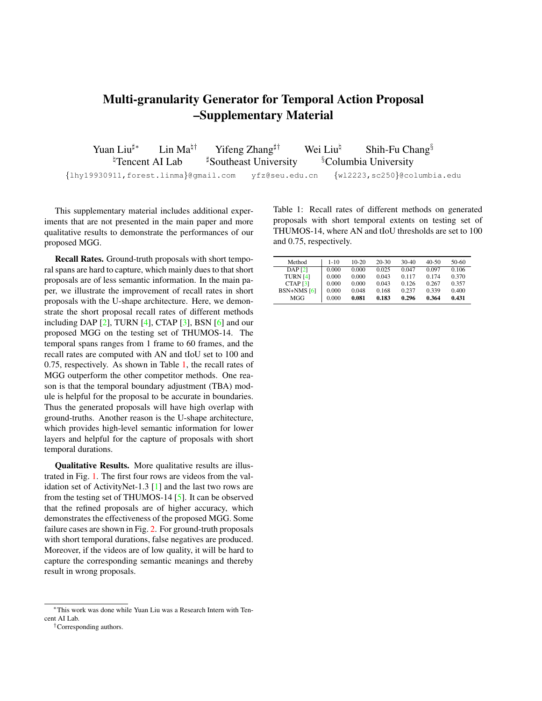## Multi-granularity Generator for Temporal Action Proposal –Supplementary Material

| Yuan Liu#*                                           | Lin Ma <sup>‡†</sup> | Yifeng Zhang <sup>‡†</sup>        | Wei Liu <sup>h</sup> | Shih-Fu Chang <sup>§</sup>       |  |
|------------------------------------------------------|----------------------|-----------------------------------|----------------------|----------------------------------|--|
| <sup>¤</sup> Tencent AI Lab                          |                      | <sup>#</sup> Southeast University |                      | <sup>§</sup> Columbia University |  |
| {lhy19930911, forest.linma}@gmail.com yfz@seu.edu.cn |                      |                                   |                      | {w12223,sc250}@columbia.edu      |  |

This supplementary material includes additional experiments that are not presented in the main paper and more qualitative results to demonstrate the performances of our proposed MGG.

Recall Rates. Ground-truth proposals with short temporal spans are hard to capture, which mainly dues to that short proposals are of less semantic information. In the main paper, we illustrate the improvement of recall rates in short proposals with the U-shape architecture. Here, we demonstrate the short proposal recall rates of different methods including DAP  $[2]$ , TURN  $[4]$ , CTAP  $[3]$ , BSN  $[6]$  and our proposed MGG on the testing set of THUMOS-14. The temporal spans ranges from 1 frame to 60 frames, and the recall rates are computed with AN and tIoU set to 100 and 0.75, respectively. As shown in Table [1,](#page-0-0) the recall rates of MGG outperform the other competitor methods. One reason is that the temporal boundary adjustment (TBA) module is helpful for the proposal to be accurate in boundaries. Thus the generated proposals will have high overlap with ground-truths. Another reason is the U-shape architecture, which provides high-level semantic information for lower layers and helpful for the capture of proposals with short temporal durations.

Qualitative Results. More qualitative results are illustrated in Fig. [1.](#page-1-0) The first four rows are videos from the validation set of ActivityNet-1.3 [\[1\]](#page-2-4) and the last two rows are from the testing set of THUMOS-14 [\[5\]](#page-2-5). It can be observed that the refined proposals are of higher accuracy, which demonstrates the effectiveness of the proposed MGG. Some failure cases are shown in Fig. [2.](#page-2-6) For ground-truth proposals with short temporal durations, false negatives are produced. Moreover, if the videos are of low quality, it will be hard to capture the corresponding semantic meanings and thereby result in wrong proposals.

<span id="page-0-0"></span>Table 1: Recall rates of different methods on generated proposals with short temporal extents on testing set of THUMOS-14, where AN and tIoU thresholds are set to 100 and 0.75, respectively.

| Method                    | $1 - 10$ | $10-20$ | $20-30$ | 30-40 | 40-50 | 50-60 |
|---------------------------|----------|---------|---------|-------|-------|-------|
| <b>DAP</b> <sub>[2]</sub> | 0.000    | 0.000   | 0.025   | 0.047 | 0.097 | 0.106 |
| <b>TURN [4]</b>           | 0.000    | 0.000   | 0.043   | 0.117 | 0.174 | 0.370 |
| CTAP <sub>[3]</sub>       | 0.000    | 0.000   | 0.043   | 0.126 | 0.267 | 0.357 |
| $BSN+NMS$ [6]             | 0.000    | 0.048   | 0.168   | 0.237 | 0.339 | 0.400 |
| MGG                       | 0.000    | 0.081   | 0.183   | 0.296 | 0.364 | 0.431 |

<sup>∗</sup>This work was done while Yuan Liu was a Research Intern with Tencent AI Lab.

<sup>†</sup>Corresponding authors.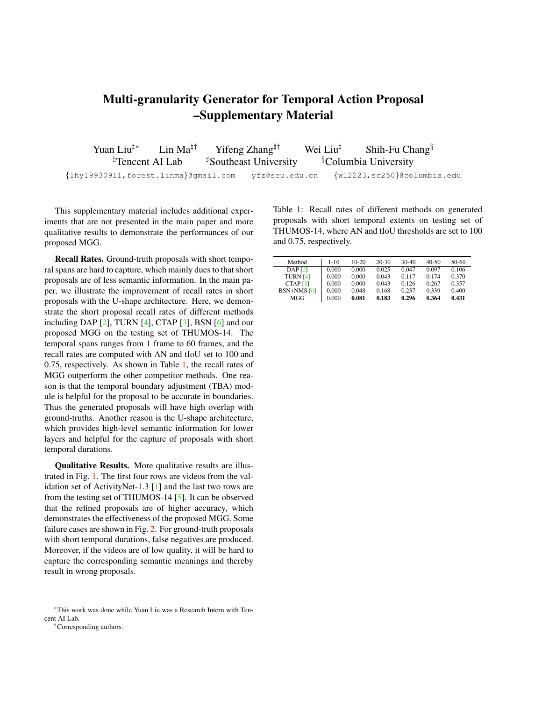<span id="page-1-0"></span>

Figure 1: Qualitative results of proposals generated by MGG. First four rows represent temporal proposals on ActivityNet-1.3. Last two rows represent temporal proposals on THUMOS-14. After TBA adopted to adjust proposal boundaries generated by segment proposal generator (SPG), the refined proposals will have high overlap with the ground-truth proposals.